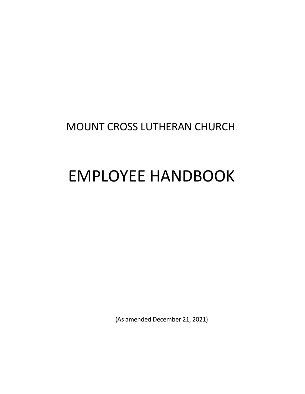# MOUNT CROSS LUTHERAN CHURCH

# EMPLOYEE HANDBOOK

(As amended December 21, 2021)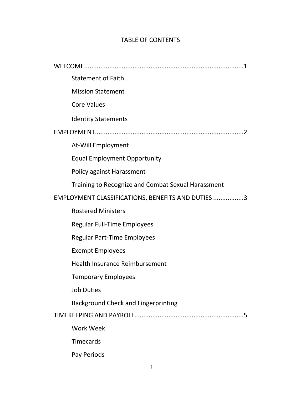# TABLE OF CONTENTS

| <b>Statement of Faith</b>                          |  |  |  |
|----------------------------------------------------|--|--|--|
| <b>Mission Statement</b>                           |  |  |  |
| <b>Core Values</b>                                 |  |  |  |
| <b>Identity Statements</b>                         |  |  |  |
|                                                    |  |  |  |
| At-Will Employment                                 |  |  |  |
| <b>Equal Employment Opportunity</b>                |  |  |  |
| <b>Policy against Harassment</b>                   |  |  |  |
| Training to Recognize and Combat Sexual Harassment |  |  |  |
| EMPLOYMENT CLASSIFICATIONS, BENEFITS AND DUTIES 3  |  |  |  |
| <b>Rostered Ministers</b>                          |  |  |  |
| <b>Regular Full-Time Employees</b>                 |  |  |  |
| <b>Regular Part-Time Employees</b>                 |  |  |  |
| <b>Exempt Employees</b>                            |  |  |  |
| <b>Health Insurance Reimbursement</b>              |  |  |  |
| <b>Temporary Employees</b>                         |  |  |  |
| <b>Job Duties</b>                                  |  |  |  |
| <b>Background Check and Fingerprinting</b>         |  |  |  |
|                                                    |  |  |  |
| <b>Work Week</b>                                   |  |  |  |
| <b>Timecards</b>                                   |  |  |  |
| Pay Periods                                        |  |  |  |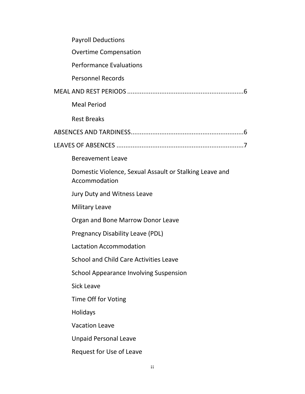| <b>Payroll Deductions</b>                                                                                                                                                                                                                                      |  |  |                                   |  |  |                              |
|----------------------------------------------------------------------------------------------------------------------------------------------------------------------------------------------------------------------------------------------------------------|--|--|-----------------------------------|--|--|------------------------------|
| <b>Overtime Compensation</b>                                                                                                                                                                                                                                   |  |  |                                   |  |  |                              |
| <b>Performance Evaluations</b>                                                                                                                                                                                                                                 |  |  |                                   |  |  |                              |
| <b>Personnel Records</b>                                                                                                                                                                                                                                       |  |  |                                   |  |  |                              |
|                                                                                                                                                                                                                                                                |  |  |                                   |  |  |                              |
| <b>Meal Period</b>                                                                                                                                                                                                                                             |  |  |                                   |  |  |                              |
| <b>Rest Breaks</b>                                                                                                                                                                                                                                             |  |  |                                   |  |  |                              |
|                                                                                                                                                                                                                                                                |  |  |                                   |  |  |                              |
|                                                                                                                                                                                                                                                                |  |  |                                   |  |  |                              |
| <b>Bereavement Leave</b>                                                                                                                                                                                                                                       |  |  |                                   |  |  |                              |
| Domestic Violence, Sexual Assault or Stalking Leave and<br>Accommodation                                                                                                                                                                                       |  |  |                                   |  |  |                              |
| Jury Duty and Witness Leave                                                                                                                                                                                                                                    |  |  |                                   |  |  |                              |
| <b>Military Leave</b><br>Organ and Bone Marrow Donor Leave<br><b>Pregnancy Disability Leave (PDL)</b><br><b>Lactation Accommodation</b><br><b>School and Child Care Activities Leave</b><br><b>School Appearance Involving Suspension</b><br><b>Sick Leave</b> |  |  |                                   |  |  |                              |
|                                                                                                                                                                                                                                                                |  |  | Time Off for Voting               |  |  |                              |
|                                                                                                                                                                                                                                                                |  |  | Holidays<br><b>Vacation Leave</b> |  |  |                              |
|                                                                                                                                                                                                                                                                |  |  |                                   |  |  | <b>Unpaid Personal Leave</b> |
|                                                                                                                                                                                                                                                                |  |  | Request for Use of Leave          |  |  |                              |
|                                                                                                                                                                                                                                                                |  |  |                                   |  |  |                              |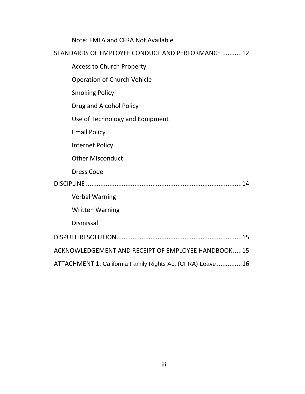| Note: FMLA and CFRA Not Available                          |  |  |
|------------------------------------------------------------|--|--|
| STANDARDS OF EMPLOYEE CONDUCT AND PERFORMANCE 12           |  |  |
| <b>Access to Church Property</b>                           |  |  |
| <b>Operation of Church Vehicle</b>                         |  |  |
| <b>Smoking Policy</b>                                      |  |  |
| Drug and Alcohol Policy                                    |  |  |
| Use of Technology and Equipment                            |  |  |
| <b>Email Policy</b>                                        |  |  |
| <b>Internet Policy</b>                                     |  |  |
| <b>Other Misconduct</b>                                    |  |  |
| <b>Dress Code</b>                                          |  |  |
|                                                            |  |  |
| <b>Verbal Warning</b>                                      |  |  |
| <b>Written Warning</b>                                     |  |  |
| <b>Dismissal</b>                                           |  |  |
|                                                            |  |  |
| ACKNOWLEDGEMENT AND RECEIPT OF EMPLOYEE HANDBOOK15         |  |  |
| ATTACHMENT 1: California Family Rights Act (CFRA) Leave 16 |  |  |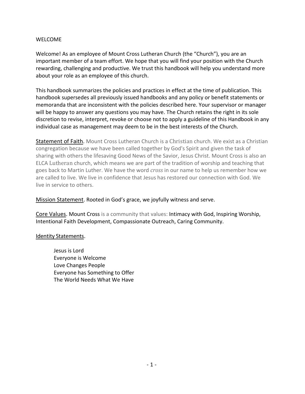#### WELCOME

Welcome! As an employee of Mount Cross Lutheran Church (the "Church"), you are an important member of a team effort. We hope that you will find your position with the Church rewarding, challenging and productive. We trust this handbook will help you understand more about your role as an employee of this church.

This handbook summarizes the policies and practices in effect at the time of publication. This handbook supersedes all previously issued handbooks and any policy or benefit statements or memoranda that are inconsistent with the policies described here. Your supervisor or manager will be happy to answer any questions you may have. The Church retains the right in its sole discretion to revise, interpret, revoke or choose not to apply a guideline of this Handbook in any individual case as management may deem to be in the best interests of the Church.

Statement of Faith. Mount Cross Lutheran Church is a Christian church. We exist as a Christian congregation because we have been called together by God's Spirit and given the task of sharing with others the lifesaving Good News of the Savior, Jesus Christ. Mount Cross is also an ELCA Lutheran church, which means we are part of the tradition of worship and teaching that goes back to Martin Luther. We have the word *cross* in our name to help us remember how we are called to live. We live in confidence that Jesus has restored our connection with God. We live in service to others.

#### Mission Statement. Rooted in God's grace, we joyfully witness and serve.

Core Values. Mount Cross is a community that values: Intimacy with God, Inspiring Worship, Intentional Faith Development, Compassionate Outreach, Caring Community.

#### Identity Statements.

Jesus is Lord Everyone is Welcome Love Changes People Everyone has Something to Offer The World Needs What We Have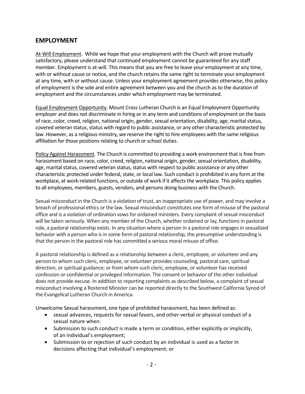#### **EMPLOYMENT**

At-Will Employment. While we hope that your employment with the Church will prove mutually satisfactory, please understand that continued employment cannot be guaranteed for any staff member. Employment is at-will. This means that you are free to leave your employment at any time, with or without cause or notice, and the church retains the same right to terminate your employment at any time, with or without cause. Unless your employment agreement provides otherwise, this policy of employment is the sole and entire agreement between you and the church as to the duration of employment and the circumstances under which employment may be terminated.

Equal Employment Opportunity. Mount Cross Lutheran Church is an Equal Employment Opportunity employer and does not discriminate in hiring or in any term and conditions of employment on the basis of race, color, creed, religion, national origin, gender, sexual orientation, disability, age, marital status, covered veteran status, status with regard to public assistance, or any other characteristic protected by law. However, as a religious ministry, we reserve the right to hire employees with the same religious affiliation for those positions relating to church or school duties.

Policy Against Harassment. The Church is committed to providing a work environment that is free from harassment based on race, color, creed, religion, national origin, gender, sexual orientation, disability, age, marital status, covered veteran status, status with respect to public assistance or any other characteristic protected under federal, state, or local law. Such conduct is prohibited in any form at the workplace, at work-related functions, or outside of work if it affects the workplace. This policy applies to all employees, members, guests, vendors, and persons doing business with the Church.

Sexual misconduct in the Church is a violation of trust, an inappropriate use of power, and may involve a breach of professional ethics or the law. Sexual misconduct constitutes one form of misuse of the pastoral office and is a violation of ordination vows for ordained ministers. Every complaint of sexual misconduct will be taken seriously. When any member of the Church, whether ordained or lay, functions in pastoral role, a pastoral relationship exists. In any situation where a person in a pastoral role engages in sexualized behavior with a person who is in some form of pastoral relationship, the presumptive understanding is that the person in the pastoral role has committed a serious moral misuse of office.

A pastoral relationship is defined as a relationship between a cleric, employee, or volunteer and any person to whom such cleric, employee, or volunteer provides counseling, pastoral care, spiritual direction, or spiritual guidance; or from whom such cleric, employee, or volunteer has received confession or confidential or privileged information. The consent or behavior of the other individual does not provide excuse. In addition to reporting complaints as described below, a complaint of sexual misconduct involving a Rostered Minister can be reported directly to the Southwest California Synod of the Evangelical Lutheran Church in America.

Unwelcome Sexual harassment, one type of prohibited harassment, has been defined as:

- sexual advances, requests for sexual favors, and other verbal or physical conduct of a sexual nature when:
- Submission to such conduct is made a term or condition, either explicitly or implicitly, of an individual's employment;
- Submission to or rejection of such conduct by an individual is used as a factor in decisions affecting that individual's employment; or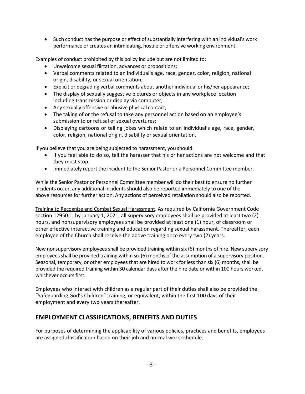Such conduct has the purpose or effect of substantially interfering with an individual's work performance or creates an intimidating, hostile or offensive working environment.

Examples of conduct prohibited by this policy include but are not limited to:

- Unwelcome sexual flirtation, advances or propositions;
- Verbal comments related to an individual's age, race, gender, color, religion, national origin, disability, or sexual orientation;
- Explicit or degrading verbal comments about another individual or his/her appearance;
- The display of sexually suggestive pictures or objects in any workplace location including transmission or display via computer;
- Any sexually offensive or abusive physical contact;
- The taking of or the refusal to take any personnel action based on an employee's submission to or refusal of sexual overtures;
- Displaying cartoons or telling jokes which relate to an individual's age, race, gender, color, religion, national origin, disability or sexual orientation.

If you believe that you are being subjected to harassment, you should:

- If you feel able to do so, tell the harasser that his or her actions are not welcome and that they must stop;
- Immediately report the incident to the Senior Pastor or a Personnel Committee member.

While the Senior Pastor or Personnel Committee member will do their best to ensure no further incidents occur, any additional incidents should also be reported immediately to one of the above resources for further action. Any actions of perceived retaliation should also be reported.

Training to Recognize and Combat Sexual Harassment. As required by California Government Code section 12950.1, by January 1, 2021, all supervisory employees shall be provided at least two (2) hours, and nonsupervisory employees shall be provided at least one (1) hour, of classroom or other effective interactive training and education regarding sexual harassment. Thereafter, each employee of the Church shall receive the above training once every two (2) years.

New nonsupervisory employees shall be provided training within six (6) months of hire. New supervisory employees shall be provided training within six (6) months of the assumption of a supervisory position. Seasonal, temporary, or other employees that are hired to work for less than six (6) months, shall be provided the required training within 30 calendar days after the hire date or within 100 hours worked, whichever occurs first.

Employees who interact with children as a regular part of their duties shall also be provided the "Safeguarding God's Children" training, or equivalent, within the first 100 days of their employment and every two years thereafter.

#### **EMPLOYMENT CLASSIFICATIONS, BENEFITS AND DUTIES**

For purposes of determining the applicability of various policies, practices and benefits, employees are assigned classification based on their job and normal work schedule.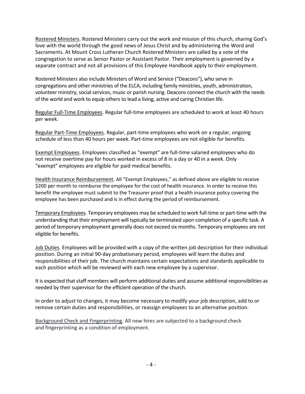Rostered Ministers. Rostered Ministers carry out the work and mission of this church, sharing God's love with the world through the good news of Jesus Christ and by administering the Word and Sacraments. At Mount Cross Lutheran Church Rostered Ministers are called by a vote of the congregation to serve as Senior Pastor or Assistant Pastor. Their employment is governed by a separate contract and not all provisions of this Employee Handbook apply to their employment.

Rostered Ministers also include Ministers of Word and Service ("Deacons"), who serve in congregations and other ministries of the ELCA, including family ministries, youth, administration, volunteer ministry, social services, music or parish nursing. Deacons connect the church with the needs of the world and work to equip others to lead a living, active and caring Christian life.

Regular Full-Time Employees. Regular full-time employees are scheduled to work at least 40 hours per week.

Regular Part-Time Employees. Regular, part-time employees who work on a regular, ongoing schedule of less than 40 hours per week. Part-time employees are not eligible for benefits.

Exempt Employees. Employees classified as "exempt" are full-time salaried employees who do not receive overtime pay for hours worked in excess of 8 in a day or 40 in a week. Only "exempt" employees are eligible for paid medical benefits.

Health Insurance Reimbursement. All "Exempt Employees," as defined above are eligible to receive \$200 per month to reimburse the employee for the cost of health insurance. In order to receive this benefit the employee must submit to the Treasurer proof that a health insurance policy covering the employee has been purchased and is in effect during the period of reimbursement.

Temporary Employees. Temporary employees may be scheduled to work full-time or part-time with the understanding that their employment will typically be terminated upon completion of a specific task. A period of temporary employment generally does not exceed six months. Temporary employees are not eligible for benefits.

Job Duties. Employees will be provided with a copy of the written job description for their individual position. During an initial 90-day probationary period, employees will learn the duties and responsibilities of their job. The church maintains certain expectations and standards applicable to each position which will be reviewed with each new employee by a supervisor.

It is expected that staff members will perform additional duties and assume additional responsibilities as needed by their supervisor for the efficient operation of the church.

In order to adjust to changes, it may become necessary to modify your job description, add to or remove certain duties and responsibilities, or reassign employees to an alternative position.

Background Check and Fingerprinting. All new hires are subjected to a background check and fingerprinting as a condition of employment.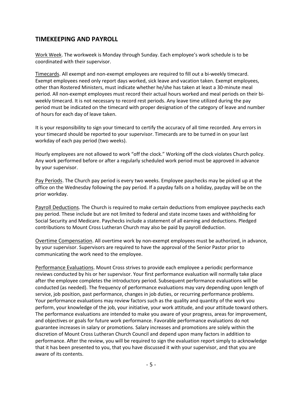#### **TIMEKEEPING AND PAYROLL**

Work Week. The workweek is Monday through Sunday. Each employee's work schedule is to be coordinated with their supervisor.

Timecards. All exempt and non-exempt employees are required to fill out a bi-weekly timecard. Exempt employees need only report days worked, sick leave and vacation taken. Exempt employees, other than Rostered Ministers, must indicate whether he/she has taken at least a 30-minute meal period. All non-exempt employees must record their actual hours worked and meal periods on their biweekly timecard. It is not necessary to record rest periods. Any leave time utilized during the pay period must be indicated on the timecard with proper designation of the category of leave and number of hours for each day of leave taken.

It is your responsibility to sign your timecard to certify the accuracy of all time recorded. Any errors in your timecard should be reported to your supervisor. Timecards are to be turned in on your last workday of each pay period (two weeks).

Hourly employees are not allowed to work "off the clock." Working off the clock violates Church policy. Any work performed before or after a regularly scheduled work period must be approved in advance by your supervisor.

Pay Periods. The Church pay period is every two weeks. Employee paychecks may be picked up at the office on the Wednesday following the pay period. If a payday falls on a holiday, payday will be on the prior workday.

Payroll Deductions. The Church is required to make certain deductions from employee paychecks each pay period. These include but are not limited to federal and state income taxes and withholding for Social Security and Medicare. Paychecks include a statement of all earning and deductions. Pledged contributions to Mount Cross Lutheran Church may also be paid by payroll deduction.

Overtime Compensation. All overtime work by non-exempt employees must be authorized, in advance, by your supervisor. Supervisors are required to have the approval of the Senior Pastor prior to communicating the work need to the employee.

Performance Evaluations. Mount Cross strives to provide each employee a periodic performance reviews conducted by his or her supervisor. Your first performance evaluation will normally take place after the employee completes the introductory period. Subsequent performance evaluations will be conducted (as needed). The frequency of performance evaluations may vary depending upon length of service, job position, past performance, changes in job duties, or recurring performance problems. Your performance evaluations may review factors such as the quality and quantity of the work you perform, your knowledge of the job, your initiative, your work attitude, and your attitude toward others. The performance evaluations are intended to make you aware of your progress, areas for improvement, and objectives or goals for future work performance. Favorable performance evaluations do not guarantee increases in salary or promotions. Salary increases and promotions are solely within the discretion of Mount Cross Lutheran Church Council and depend upon many factors in addition to performance. After the review, you will be required to sign the evaluation report simply to acknowledge that it has been presented to you, that you have discussed it with your supervisor, and that you are aware of its contents.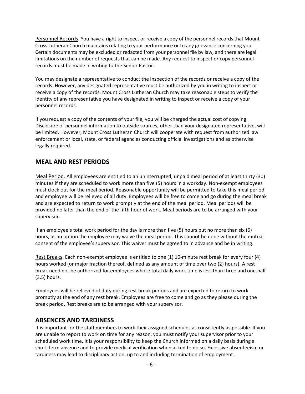Personnel Records. You have a right to inspect or receive a copy of the personnel records that Mount Cross Lutheran Church maintains relating to your performance or to any grievance concerning you. Certain documents may be excluded or redacted from your personnel file by law, and there are legal limitations on the number of requests that can be made. Any request to inspect or copy personnel records must be made in writing to the Senior Pastor.

You may designate a representative to conduct the inspection of the records or receive a copy of the records. However, any designated representative must be authorized by you in writing to inspect or receive a copy of the records. Mount Cross Lutheran Church may take reasonable steps to verify the identity of any representative you have designated in writing to inspect or receive a copy of your personnel records.

If you request a copy of the contents of your file, you will be charged the actual cost of copying. Disclosure of personnel information to outside sources, other than your designated representative, will be limited. However, Mount Cross Lutheran Church will cooperate with request from authorized law enforcement or local, state, or federal agencies conducting official investigations and as otherwise legally required.

## **MEAL AND REST PERIODS**

Meal Period. All employees are entitled to an uninterrupted, unpaid meal period of at least thirty (30) minutes if they are scheduled to work more than five (5) hours in a workday. Non-exempt employees must clock out for the meal period. Reasonable opportunity will be permitted to take this meal period and employee will be relieved of all duty. Employees will be free to come and go during the meal break and are expected to return to work promptly at the end of the meal period. Meal periods will be provided no later than the end of the fifth hour of work. Meal periods are to be arranged with your supervisor.

If an employee's total work period for the day is more than five (5) hours but no more than six (6) hours, as an option the employee may waive the meal period. This cannot be done without the mutual consent of the employee's supervisor. This waiver must be agreed to in advance and be in writing.

Rest Breaks. Each non-exempt employee is entitled to one (1) 10-minute rest break for every four (4) hours worked (or major fraction thereof, defined as any amount of time over two (2) hours). A rest break need not be authorized for employees whose total daily work time is less than three and one-half (3.5) hours.

Employees will be relieved of duty during rest break periods and are expected to return to work promptly at the end of any rest break. Employees are free to come and go as they please during the break period. Rest breaks are to be arranged with your supervisor.

#### **ABSENCES AND TARDINESS**

It is important for the staff members to work their assigned schedules as consistently as possible. If you are unable to report to work on time for any reason, you must notify your supervisor prior to your scheduled work time. It is your responsibility to keep the Church informed on a daily basis during a short-term absence and to provide medical verification when asked to do so. Excessive absenteeism or tardiness may lead to disciplinary action, up to and including termination of employment.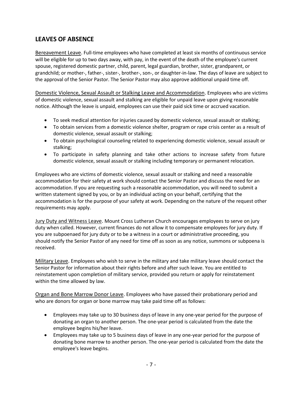## **LEAVES OF ABSENCE**

Bereavement Leave. Full-time employees who have completed at least six months of continuous service will be eligible for up to two days away, with pay, in the event of the death of the employee's current spouse, registered domestic partner, child, parent, legal guardian, brother, sister, grandparent, or grandchild; or mother-, father-, sister-, brother-, son-, or daughter-in-law. The days of leave are subject to the approval of the Senior Pastor. The Senior Pastor may also approve additional unpaid time off.

Domestic Violence, Sexual Assault or Stalking Leave and Accommodation. Employees who are victims of domestic violence, sexual assault and stalking are eligible for unpaid leave upon giving reasonable notice. Although the leave is unpaid, employees can use their paid sick time or accrued vacation.

- To seek medical attention for injuries caused by domestic violence, sexual assault or stalking;
- To obtain services from a domestic violence shelter, program or rape crisis center as a result of domestic violence, sexual assault or stalking;
- To obtain psychological counseling related to experiencing domestic violence, sexual assault or stalking;
- To participate in safety planning and take other actions to increase safety from future domestic violence, sexual assault or stalking including temporary or permanent relocation.

Employees who are victims of domestic violence, sexual assault or stalking and need a reasonable accommodation for their safety at work should contact the Senior Pastor and discuss the need for an accommodation. If you are requesting such a reasonable accommodation, you will need to submit a written statement signed by you, or by an individual acting on your behalf, certifying that the accommodation is for the purpose of your safety at work. Depending on the nature of the request other requirements may apply.

Jury Duty and Witness Leave. Mount Cross Lutheran Church encourages employees to serve on jury duty when called. However, current finances do not allow it to compensate employees for jury duty. If you are subpoenaed for jury duty or to be a witness in a court or administrative proceeding, you should notify the Senior Pastor of any need for time off as soon as any notice, summons or subpoena is received.

Military Leave. Employees who wish to serve in the military and take military leave should contact the Senior Pastor for information about their rights before and after such leave. You are entitled to reinstatement upon completion of military service, provided you return or apply for reinstatement within the time allowed by law.

Organ and Bone Marrow Donor Leave. Employees who have passed their probationary period and who are donors for organ or bone marrow may take paid time off as follows:

- Employees may take up to 30 business days of leave in any one-year period for the purpose of donating an organ to another person. The one-year period is calculated from the date the employee begins his/her leave.
- Employees may take up to 5 business days of leave in any one-year period for the purpose of donating bone marrow to another person. The one-year period is calculated from the date the employee's leave begins.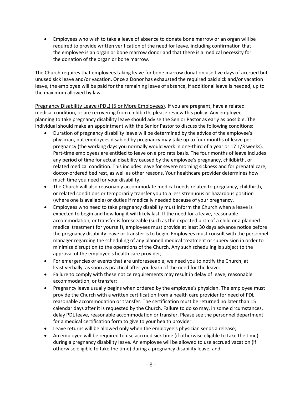Employees who wish to take a leave of absence to donate bone marrow or an organ will be required to provide written verification of the need for leave, including confirmation that the employee is an organ or bone marrow donor and that there is a medical necessity for the donation of the organ or bone marrow.

The Church requires that employees taking leave for bone marrow donation use five days of accrued but unused sick leave and/or vacation. Once a Donor has exhausted the required paid sick and/or vacation leave, the employee will be paid for the remaining leave of absence, if additional leave is needed, up to the maximum allowed by law.

Pregnancy Disability Leave (PDL) (5 or More Employees). If you are pregnant, have a related medical condition, or are recovering from childbirth, please review this policy. Any employee planning to take pregnancy disability leave should advise the Senior Pastor as early as possible. The individual should make an appointment with the Senior Pastor to discuss the following conditions:

- Duration of pregnancy disability leave will be determined by the advice of the employee's physician, but employees disabled by pregnancy may take up to four months of leave per pregnancy (the working days you normally would work in one-third of a year or 17 1/3 weeks). Part-time employees are entitled to leave on a pro rata basis. The four months of leave includes any period of time for actual disability caused by the employee's pregnancy, childbirth, or related medical condition. This includes leave for severe morning sickness and for prenatal care, doctor-ordered bed rest, as well as other reasons. Your healthcare provider determines how much time you need for your disability.
- The Church will also reasonably accommodate medical needs related to pregnancy, childbirth, or related conditions or temporarily transfer you to a less strenuous or hazardous position (where one is available) or duties if medically needed because of your pregnancy.
- Employees who need to take pregnancy disability must inform the Church when a leave is expected to begin and how long it will likely last. If the need for a leave, reasonable accommodation, or transfer is foreseeable (such as the expected birth of a child or a planned medical treatment for yourself), employees must provide at least 30 days advance notice before the pregnancy disability leave or transfer is to begin. Employees must consult with the personnel manager regarding the scheduling of any planned medical treatment or supervision in order to minimize disruption to the operations of the Church. Any such scheduling is subject to the approval of the employee's health care provider;
- For emergencies or events that are unforeseeable, we need you to notify the Church, at least verbally, as soon as practical after you learn of the need for the leave.
- Failure to comply with these notice requirements may result in delay of leave, reasonable accommodation, or transfer;
- Pregnancy leave usually begins when ordered by the employee's physician. The employee must provide the Church with a written certification from a health care provider for need of PDL, reasonable accommodation or transfer. The certification must be returned no later than 15 calendar days after it is requested by the Church. Failure to do so may, in some circumstances, delay PDL leave, reasonable accommodation or transfer. Please see the personnel department for a medical certification form to give to your health provider.
- Leave returns will be allowed only when the employee's physician sends a release;
- An employee will be required to use accrued sick time (if otherwise eligible to take the time) during a pregnancy disability leave. An employee will be allowed to use accrued vacation (if otherwise eligible to take the time) during a pregnancy disability leave; and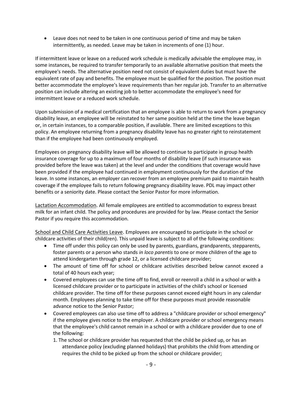Leave does not need to be taken in one continuous period of time and may be taken intermittently, as needed. Leave may be taken in increments of one (1) hour.

If intermittent leave or leave on a reduced work schedule is medically advisable the employee may, in some instances, be required to transfer temporarily to an available alternative position that meets the employee's needs. The alternative position need not consist of equivalent duties but must have the equivalent rate of pay and benefits. The employee must be qualified for the position. The position must better accommodate the employee's leave requirements than her regular job. Transfer to an alternative position can include altering an existing job to better accommodate the employee's need for intermittent leave or a reduced work schedule.

Upon submission of a medical certification that an employee is able to return to work from a pregnancy disability leave, an employee will be reinstated to her same position held at the time the leave began or, in certain instances, to a comparable position, if available. There are limited exceptions to this policy. An employee returning from a pregnancy disability leave has no greater right to reinstatement than if the employee had been continuously employed.

Employees on pregnancy disability leave will be allowed to continue to participate in group health insurance coverage for up to a maximum of four months of disability leave (if such insurance was provided before the leave was taken) at the level and under the conditions that coverage would have been provided if the employee had continued in employment continuously for the duration of the leave. In some instances, an employer can recover from an employee premium paid to maintain health coverage if the employee fails to return following pregnancy disability leave. PDL may impact other benefits or a seniority date. Please contact the Senior Pastor for more information.

Lactation Accommodation. All female employees are entitled to accommodation to express breast milk for an infant child. The policy and procedures are provided for by law. Please contact the Senior Pastor if you require this accommodation.

School and Child Care Activities Leave. Employees are encouraged to participate in the school or childcare activities of their child(ren). This unpaid leave is subject to all of the following conditions:

- Time off under this policy can only be used by parents, guardians, grandparents, stepparents, foster parents or a person who stands *in loco parentis* to one or more children of the age to attend kindergarten through grade 12, or a licensed childcare provider;
- The amount of time off for school or childcare activities described below cannot exceed a total of 40 hours each year;
- Covered employees can use the time off to find, enroll or reenroll a child in a school or with a licensed childcare provider or to participate in activities of the child's school or licensed childcare provider. The time off for these purposes cannot exceed eight hours in any calendar month. Employees planning to take time off for these purposes must provide reasonable advance notice to the Senior Pastor;
- Covered employees can also use time off to address a "childcare provider or school emergency" if the employee gives notice to the employer. A childcare provider or school emergency means that the employee's child cannot remain in a school or with a childcare provider due to one of the following:
	- 1. The school or childcare provider has requested that the child be picked up, or has an attendance policy (excluding planned holidays) that prohibits the child from attending or requires the child to be picked up from the school or childcare provider;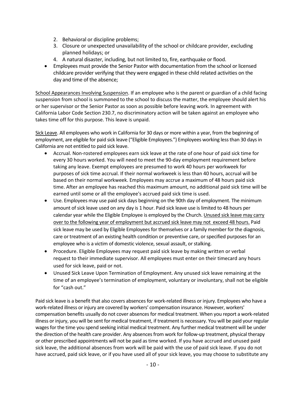- 2. Behavioral or discipline problems;
- 3. Closure or unexpected unavailability of the school or childcare provider, excluding planned holidays; or
- 4. A natural disaster, including, but not limited to, fire, earthquake or flood.
- Employees must provide the Senior Pastor with documentation from the school or licensed childcare provider verifying that they were engaged in these child related activities on the day and time of the absence;

School Appearances Involving Suspension. If an employee who is the parent or guardian of a child facing suspension from school is summoned to the school to discuss the matter, the employee should alert his or her supervisor or the Senior Pastor as soon as possible before leaving work. In agreement with California Labor Code Section 230.7, no discriminatory action will be taken against an employee who takes time off for this purpose. This leave is unpaid.

Sick Leave. All employees who work in California for 30 days or more within a year, from the beginning of employment, are eligible for paid sick leave ("Eligible Employees.") Employees working less than 30 days in California are not entitled to paid sick leave.

- Accrual. Non-rostered employees earn sick leave at the rate of one hour of paid sick time for every 30 hours worked. You will need to meet the 90-day employment requirement before taking any leave. Exempt employees are presumed to work 40 hours per workweek for purposes of sick time accrual. If their normal workweek is less than 40 hours, accrual will be based on their normal workweek. Employees may accrue a maximum of 48 hours paid sick time. After an employee has reached this maximum amount, no additional paid sick time will be earned until some or all the employee's accrued paid sick time is used.
- Use. Employees may use paid sick days beginning on the 90th day of employment. The minimum amount of sick leave used on any day is 1 hour. Paid sick leave use is limited to 48 hours per calendar year while the Eligible Employee is employed by the Church. Unused sick leave may carry over to the following year of employment but accrued sick leave may not exceed 48 hours. Paid sick leave may be used by Eligible Employees for themselves or a family member for the diagnosis, care or treatment of an existing health condition or preventive care, or specified purposes for an employee who is a victim of domestic violence, sexual assault, or stalking.
- Procedure. Eligible Employees may request paid sick leave by making written or verbal request to their immediate supervisor. All employees must enter on their timecard any hours used for sick leave, paid or not.
- Unused Sick Leave Upon Termination of Employment. Any unused sick leave remaining at the time of an employee's termination of employment, voluntary or involuntary, shall not be eligible for "cash out."

Paid sick leave is a benefit that also covers absences for work-related illness or injury. Employees who have a work-related illness or injury are covered by workers' compensation insurance. However, workers' compensation benefits usually do not cover absences for medical treatment. When you report a work-related illness or injury, you will be sent for medical treatment, if treatment is necessary. You will be paid your regular wages for the time you spend seeking initial medical treatment. Any further medical treatment will be under the direction of the health care provider. Any absences from work for follow-up treatment, physical therapy or other prescribed appointments will not be paid as time worked. If you have accrued and unused paid sick leave, the additional absences from work will be paid with the use of paid sick leave. If you do not have accrued, paid sick leave, or if you have used all of your sick leave, you may choose to substitute any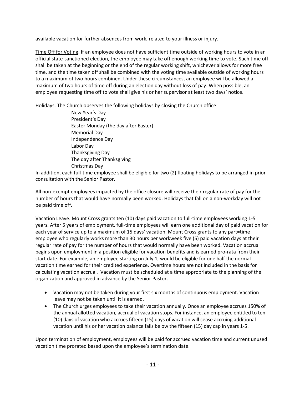available vacation for further absences from work, related to your illness or injury.

Time Off for Voting. If an employee does not have sufficient time outside of working hours to vote in an official state-sanctioned election, the employee may take off enough working time to vote. Such time off shall be taken at the beginning or the end of the regular working shift, whichever allows for more free time, and the time taken off shall be combined with the voting time available outside of working hours to a maximum of two hours combined. Under these circumstances, an employee will be allowed a maximum of two hours of time off during an election day without loss of pay. When possible, an employee requesting time off to vote shall give his or her supervisor at least two days' notice.

Holidays. The Church observes the following holidays by closing the Church office:

New Year's Day President's Day Easter Monday (the day after Easter) Memorial Day Independence Day Labor Day Thanksgiving Day The day after Thanksgiving Christmas Day

In addition, each full-time employee shall be eligible for two (2) floating holidays to be arranged in prior consultation with the Senior Pastor.

All non-exempt employees impacted by the office closure will receive their regular rate of pay for the number of hours that would have normally been worked. Holidays that fall on a non-workday will not be paid time off.

Vacation Leave. Mount Cross grants ten (10) days paid vacation to full-time employees working 1-5 years. After 5 years of employment, full-time employees will earn one additional day of paid vacation for each year of service up to a maximum of 15 days' vacation. Mount Cross grants to any part=time employee who regularly works more than 30 hours per workweek five (5) paid vacation days at their regular rate of pay for the number of hours that would normally have been worked. Vacation accrual begins upon employment in a position eligible for vacation benefits and is earned pro-rata from their start date. For example, an employee starting on July 1, would be eligible for one half the normal vacation time earned for their credited experience. Overtime hours are not included in the basis for calculating vacation accrual. Vacation must be scheduled at a time appropriate to the planning of the organization and approved in advance by the Senior Pastor.

- Vacation may not be taken during your first six months of continuous employment. Vacation leave may not be taken until it is earned.
- The Church urges employees to take their vacation annually. Once an employee accrues 150% of the annual allotted vacation, accrual of vacation stops. For instance, an employee entitled to ten (10) days of vacation who accrues fifteen (15) days of vacation will cease accruing additional vacation until his or her vacation balance falls below the fifteen (15) day cap in years 1-5.

Upon termination of employment, employees will be paid for accrued vacation time and current unused vacation time prorated based upon the employee's termination date.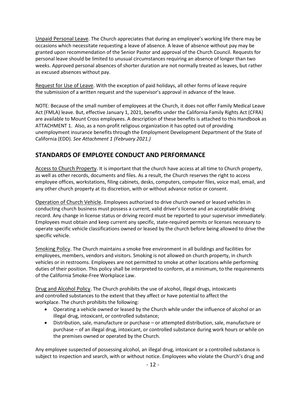Unpaid Personal Leave. The Church appreciates that during an employee's working life there may be occasions which necessitate requesting a leave of absence. A leave of absence without pay may be granted upon recommendation of the Senior Pastor and approval of the Church Council. Requests for personal leave should be limited to unusual circumstances requiring an absence of longer than two weeks. Approved personal absences of shorter duration are not normally treated as leaves, but rather as excused absences without pay.

Request for Use of Leave. With the exception of paid holidays, all other forms of leave require the submission of a written request and the supervisor's approval in advance of the leave.

NOTE: Because of the small number of employees at the Church, it does not offer Family Medical Leave Act (FMLA) leave. But, effective January 1, 2021, benefits under the California Family Rights Act (CFRA) are available to Mount Cross employees. A description of these benefits is attached to this Handbook as ATTACHMENT 1. Also, as a non-profit religious organization it has opted out of providing unemployment insurance benefits through the Employment Development Department of the State of California (EDD). *See Attachment 1 (February 2021.)*

## **STANDARDS OF EMPLOYEE CONDUCT AND PERFORMANCE**

Access to Church Property. It is important that the church have access at all time to Church property, as well as other records, documents and files. As a result, the Church reserves the right to access employee offices, workstations, filing cabinets, desks, computers, computer files, voice mail, email, and any other church property at its discretion, with or without advance notice or consent.

Operation of Church Vehicle. Employees authorized to drive church owned or leased vehicles in conducting church business must possess a current, valid driver's license and an acceptable driving record. Any change in license status or driving record must be reported to your supervisor immediately. Employees must obtain and keep current any specific, state-required permits or licenses necessary to operate specific vehicle classifications owned or leased by the church before being allowed to drive the specific vehicle.

Smoking Policy. The Church maintains a smoke free environment in all buildings and facilities for employees, members, vendors and visitors. Smoking is not allowed on church property, in church vehicles or in restrooms. Employees are not permitted to smoke at other locations while performing duties of their position. This policy shall be interpreted to conform, at a minimum, to the requirements of the California Smoke-Free Workplace Law.

Drug and Alcohol Policy. The Church prohibits the use of alcohol, illegal drugs, intoxicants and controlled substances to the extent that they affect or have potential to affect the workplace. The church prohibits the following:

- Operating a vehicle owned or leased by the Church while under the influence of alcohol or an illegal drug, intoxicant, or controlled substance;
- Distribution, sale, manufacture or purchase or attempted distribution, sale, manufacture or purchase – of an illegal drug, intoxicant, or controlled substance during work hours or while on the premises owned or operated by the Church.

Any employee suspected of possessing alcohol, an illegal drug, intoxicant or a controlled substance is subject to inspection and search, with or without notice. Employees who violate the Church's drug and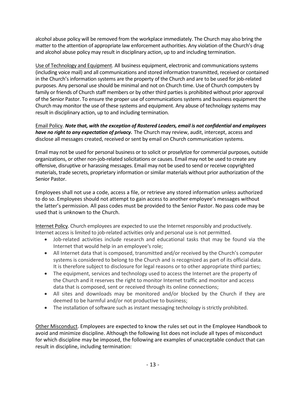alcohol abuse policy will be removed from the workplace immediately. The Church may also bring the matter to the attention of appropriate law enforcement authorities. Any violation of the Church's drug and alcohol abuse policy may result in disciplinary action, up to and including termination.

Use of Technology and Equipment. All business equipment, electronic and communications systems (including voice mail) and all communications and stored information transmitted, received or contained in the Church's information systems are the property of the Church and are to be used for job-related purposes. Any personal use should be minimal and not on Church time. Use of Church computers by family or friends of Church staff members or by other third parties is prohibited without prior approval of the Senior Pastor. To ensure the proper use of communications systems and business equipment the Church may monitor the use of these systems and equipment. Any abuse of technology systems may result in disciplinary action, up to and including termination.

Email Policy. *Note that, with the exception of Rostered Leaders, email is not confidential and employees have no right to any expectation of privacy.* The Church may review, audit, intercept, access and disclose all messages created, received or sent by email on Church communication systems.

Email may not be used for personal business or to solicit or proselytize for commercial purposes, outside organizations, or other non-job-related solicitations or causes. Email may not be used to create any offensive, disruptive or harassing messages. Email may not be used to send or receive copyrighted materials, trade secrets, proprietary information or similar materials without prior authorization of the Senior Pastor.

Employees shall not use a code, access a file, or retrieve any stored information unless authorized to do so. Employees should not attempt to gain access to another employee's messages without the latter's permission. All pass codes must be provided to the Senior Pastor. No pass code may be used that is unknown to the Church.

Internet Policy. Church employees are expected to use the Internet responsibly and productively. Internet access is limited to job-related activities only and personal use is not permitted.

- Job-related activities include research and educational tasks that may be found via the Internet that would help in an employee's role;
- All Internet data that is composed, transmitted and/or received by the Church's computer systems is considered to belong to the Church and is recognized as part of its official data. It is therefore subject to disclosure for legal reasons or to other appropriate third parties;
- The equipment, services and technology used to access the Internet are the property of the Church and it reserves the right to monitor Internet traffic and monitor and access data that is composed, sent or received through its online connections;
- All sites and downloads may be monitored and/or blocked by the Church if they are deemed to be harmful and/or not productive to business;
- The installation of software such as instant messaging technology is strictly prohibited.

Other Misconduct. Employees are expected to know the rules set out in the Employee Handbook to avoid and minimize discipline. Although the following list does not include all types of misconduct for which discipline may be imposed, the following are examples of unacceptable conduct that can result in discipline, including termination: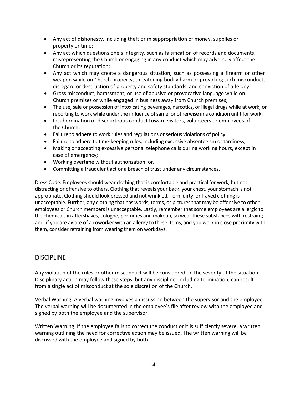- Any act of dishonesty, including theft or misappropriation of money, supplies or property or time;
- Any act which questions one's integrity, such as falsification of records and documents, misrepresenting the Church or engaging in any conduct which may adversely affect the Church or its reputation;
- Any act which may create a dangerous situation, such as possessing a firearm or other weapon while on Church property, threatening bodily harm or provoking such misconduct, disregard or destruction of property and safety standards, and conviction of a felony;
- Gross misconduct, harassment, or use of abusive or provocative language while on Church premises or while engaged in business away from Church premises;
- The use, sale or possession of intoxicating beverages, narcotics, or illegal drugs while at work, or reporting to work while under the influence of same, or otherwise in a condition unfit for work;
- Insubordination or discourteous conduct toward visitors, volunteers or employees of the Church;
- Failure to adhere to work rules and regulations or serious violations of policy;
- Failure to adhere to time-keeping rules, including excessive absenteeism or tardiness;
- Making or accepting excessive personal telephone calls during working hours, except in case of emergency;
- Working overtime without authorization; or,
- Committing a fraudulent act or a breach of trust under any circumstances.

Dress Code. Employees should wear clothing that is comfortable and practical for work, but not distracting or offensive to others. Clothing that reveals your back, your chest, your stomach is not appropriate. Clothing should look pressed and not wrinkled. Torn, dirty, or frayed clothing is unacceptable. Further, any clothing that has words, terms, or pictures that may be offensive to other employees or Church members is unacceptable. Lastly, remember that some employees are allergic to the chemicals in aftershaves, cologne, perfumes and makeup, so wear these substances with restraint; and, if you are aware of a coworker with an allergy to these items, and you work in close proximity with them, consider refraining from wearing them on workdays.

## DISCIPLINE

Any violation of the rules or other misconduct will be considered on the severity of the situation. Disciplinary action may follow these steps, but any discipline, including termination, can result from a single act of misconduct at the sole discretion of the Church.

Verbal Warning. A verbal warning involves a discussion between the supervisor and the employee. The verbal warning will be documented in the employee's file after review with the employee and signed by both the employee and the supervisor.

Written Warning. If the employee fails to correct the conduct or it is sufficiently severe, a written warning outlining the need for corrective action may be issued. The written warning will be discussed with the employee and signed by both.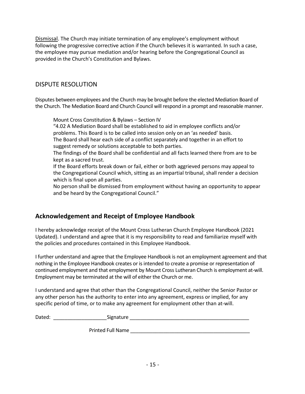Dismissal. The Church may initiate termination of any employee's employment without following the progressive corrective action if the Church believes it is warranted. In such a case, the employee may pursue mediation and/or hearing before the Congregational Council as provided in the Church's Constitution and Bylaws.

## DISPUTE RESOLUTION

Disputes between employees and the Church may be brought before the elected Mediation Board of the Church. The Mediation Board and Church Council will respond in a prompt and reasonable manner.

Mount Cross Constitution & Bylaws – Section IV "4.02 A Mediation Board shall be established to aid in employee conflicts and/or problems. This Board is to be called into session only on an 'as needed' basis. The Board shall hear each side of a conflict separately and together in an effort to suggest remedy or solutions acceptable to both parties. The findings of the Board shall be confidential and all facts learned there from are to be kept as a sacred trust. If the Board efforts break down or fail, either or both aggrieved persons may appeal to the Congregational Council which, sitting as an impartial tribunal, shall render a decision which is final upon all parties. No person shall be dismissed from employment without having an opportunity to appear and be heard by the Congregational Council."

## **Acknowledgement and Receipt of Employee Handbook**

I hereby acknowledge receipt of the Mount Cross Lutheran Church Employee Handbook (2021 Updated). I understand and agree that it is my responsibility to read and familiarize myself with the policies and procedures contained in this Employee Handbook.

I further understand and agree that the Employee Handbook is not an employment agreement and that nothing in the Employee Handbook creates or is intended to create a promise or representation of continued employment and that employment by Mount Cross Lutheran Church is employment at-will. Employment may be terminated at the will of either the Church or me.

I understand and agree that other than the Congregational Council, neither the Senior Pastor or any other person has the authority to enter into any agreement, express or implied, for any specific period of time, or to make any agreement for employment other than at-will.

| Dated: | Signature                |  |
|--------|--------------------------|--|
|        |                          |  |
|        | <b>Printed Full Name</b> |  |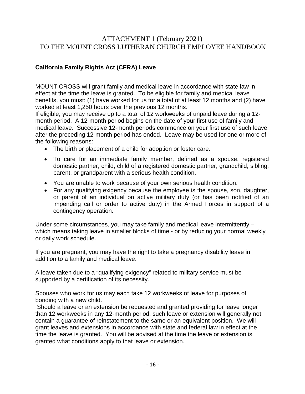# ATTACHMENT 1 (February 2021) TO THE MOUNT CROSS LUTHERAN CHURCH EMPLOYEE HANDBOOK

## **California Family Rights Act (CFRA) Leave**

MOUNT CROSS will grant family and medical leave in accordance with state law in effect at the time the leave is granted. To be eligible for family and medical leave benefits, you must: (1) have worked for us for a total of at least 12 months and (2) have worked at least 1,250 hours over the previous 12 months.

If eligible, you may receive up to a total of 12 workweeks of unpaid leave during a 12 month period. A 12-month period begins on the date of your first use of family and medical leave. Successive 12-month periods commence on your first use of such leave after the preceding 12-month period has ended. Leave may be used for one or more of the following reasons:

- The birth or placement of a child for adoption or foster care.
- To care for an immediate family member, defined as a spouse, registered domestic partner, child, child of a registered domestic partner, grandchild, sibling, parent, or grandparent with a serious health condition.
- You are unable to work because of your own serious health condition.
- For any qualifying exigency because the employee is the spouse, son, daughter, or parent of an individual on active military duty (or has been notified of an impending call or order to active duty) in the Armed Forces in support of a contingency operation.

Under some circumstances, you may take family and medical leave intermittently – which means taking leave in smaller blocks of time - or by reducing your normal weekly or daily work schedule.

If you are pregnant, you may have the right to take a pregnancy disability leave in addition to a family and medical leave.

A leave taken due to a "qualifying exigency" related to military service must be supported by a certification of its necessity.

Spouses who work for us may each take 12 workweeks of leave for purposes of bonding with a new child.

Should a leave or an extension be requested and granted providing for leave longer than 12 workweeks in any 12-month period, such leave or extension will generally not contain a guarantee of reinstatement to the same or an equivalent position. We will grant leaves and extensions in accordance with state and federal law in effect at the time the leave is granted. You will be advised at the time the leave or extension is granted what conditions apply to that leave or extension.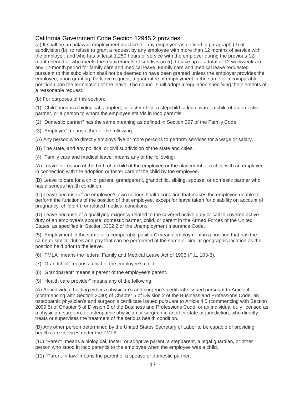#### California Government Code Section 12945.2 provides:

(a) It shall be an unlawful employment practice for any employer, as defined in paragraph (3) of subdivision (b), to refuse to grant a request by any employee with more than 12 months of service with the employer, and who has at least 1,250 hours of service with the employer during the previous 12 month period or who meets the requirements of subdivision (r), to take up to a total of 12 workweeks in any 12-month period for family care and medical leave. Family care and medical leave requested pursuant to this subdivision shall not be deemed to have been granted unless the employer provides the employee, upon granting the leave request, a guarantee of employment in the same or a comparable position upon the termination of the leave. The council shall adopt a regulation specifying the elements of a reasonable request.

(b) For purposes of this section:

(1) "Child" means a biological, adopted, or foster child, a stepchild, a legal ward, a child of a domestic partner, or a person to whom the employee stands in loco parentis.

(2) "Domestic partner" has the same meaning as defined in Section 297 of the Family Code.

(3) "Employer" means either of the following:

(A) Any person who directly employs five or more persons to perform services for a wage or salary.

(B) The state, and any political or civil subdivision of the state and cities.

(4) "Family care and medical leave" means any of the following:

(A) Leave for reason of the birth of a child of the employee or the placement of a child with an employee in connection with the adoption or foster care of the child by the employee.

(B) Leave to care for a child, parent, grandparent, grandchild, sibling, spouse, or domestic partner who has a serious health condition.

(C) Leave because of an employee's own serious health condition that makes the employee unable to perform the functions of the position of that employee, except for leave taken for disability on account of pregnancy, childbirth, or related medical conditions.

(D) Leave because of a qualifying exigency related to the covered active duty or call to covered active duty of an employee's spouse, domestic partner, child, or parent in the Armed Forces of the United States, as specified in Section 3302.2 of the Unemployment Insurance Code.

(5) "Employment in the same or a comparable position" means employment in a position that has the same or similar duties and pay that can be performed at the same or similar geographic location as the position held prior to the leave.

(6) "FMLA" means the federal Family and Medical Leave Act of 1993 (P.L. 103-3).

(7) "Grandchild" means a child of the employee's child.

(8) "Grandparent" means a parent of the employee's parent.

(9) "Health care provider" means any of the following:

(A) An individual holding either a physician's and surgeon's certificate issued pursuant to Article 4 (commencing with Section 2080) of Chapter 5 of Division 2 of the Business and Professions Code, an osteopathic physician's and surgeon's certificate issued pursuant to Article 4.5 (commencing with Section 2099.5) of Chapter 5 of Division 2 of the Business and Professions Code, or an individual duly licensed as a physician, surgeon, or osteopathic physician or surgeon in another state or jurisdiction, who directly treats or supervises the treatment of the serious health condition.

(B) Any other person determined by the United States Secretary of Labor to be capable of providing health care services under the FMLA.

(10) "Parent" means a biological, foster, or adoptive parent, a stepparent, a legal guardian, or other person who stood in loco parentis to the employee when the employee was a child.

(11) "Parent-in-law" means the parent of a spouse or domestic partner.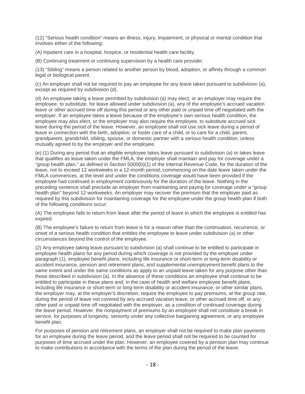(12) "Serious health condition" means an illness, injury, impairment, or physical or mental condition that involves either of the following:

(A) Inpatient care in a hospital, hospice, or residential health care facility.

(B) Continuing treatment or continuing supervision by a health care provider.

(13) "Sibling" means a person related to another person by blood, adoption, or affinity through a common legal or biological parent.

(c) An employer shall not be required to pay an employee for any leave taken pursuant to subdivision (a), except as required by subdivision (d).

(d) An employee taking a leave permitted by subdivision (a) may elect, or an employer may require the employee, to substitute, for leave allowed under subdivision (a), any of the employee's accrued vacation leave or other accrued time off during this period or any other paid or unpaid time off negotiated with the employer. If an employee takes a leave because of the employee's own serious health condition, the employee may also elect, or the employer may also require the employee, to substitute accrued sick leave during the period of the leave. However, an employee shall not use sick leave during a period of leave in connection with the birth, adoption, or foster care of a child, or to care for a child, parent, grandparent, grandchild, sibling, spouse, or domestic partner with a serious health condition, unless mutually agreed to by the employer and the employee.

(e) (1) During any period that an eligible employee takes leave pursuant to subdivision (a) or takes leave that qualifies as leave taken under the FMLA, the employer shall maintain and pay for coverage under a "group health plan," as defined in Section 5000(b)(1) of the Internal Revenue Code, for the duration of the leave, not to exceed 12 workweeks in a 12-month period, commencing on the date leave taken under the FMLA commences, at the level and under the conditions coverage would have been provided if the employee had continued in employment continuously for the duration of the leave. Nothing in the preceding sentence shall preclude an employer from maintaining and paying for coverage under a "group health plan" beyond 12 workweeks. An employer may recover the premium that the employer paid as required by this subdivision for maintaining coverage for the employee under the group health plan if both of the following conditions occur:

(A) The employee fails to return from leave after the period of leave to which the employee is entitled has expired.

(B) The employee's failure to return from leave is for a reason other than the continuation, recurrence, or onset of a serious health condition that entitles the employee to leave under subdivision (a) or other circumstances beyond the control of the employee.

(2) Any employee taking leave pursuant to subdivision (a) shall continue to be entitled to participate in employee health plans for any period during which coverage is not provided by the employer under paragraph (1), employee benefit plans, including life insurance or short-term or long-term disability or accident insurance, pension and retirement plans, and supplemental unemployment benefit plans to the same extent and under the same conditions as apply to an unpaid leave taken for any purpose other than those described in subdivision (a). In the absence of these conditions an employee shall continue to be entitled to participate in these plans and, in the case of health and welfare employee benefit plans, including life insurance or short-term or long-term disability or accident insurance, or other similar plans, the employer may, at the employer's discretion, require the employee to pay premiums, at the group rate, during the period of leave not covered by any accrued vacation leave, or other accrued time off, or any other paid or unpaid time off negotiated with the employer, as a condition of continued coverage during the leave period. However, the nonpayment of premiums by an employee shall not constitute a break in service, for purposes of longevity, seniority under any collective bargaining agreement, or any employee benefit plan.

For purposes of pension and retirement plans, an employer shall not be required to make plan payments for an employee during the leave period, and the leave period shall not be required to be counted for purposes of time accrued under the plan. However, an employee covered by a pension plan may continue to make contributions in accordance with the terms of the plan during the period of the leave.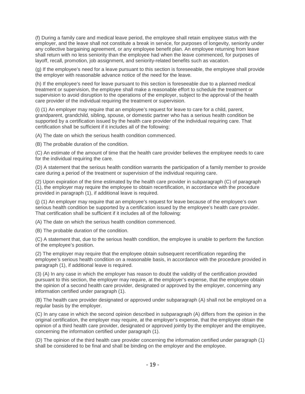(f) During a family care and medical leave period, the employee shall retain employee status with the employer, and the leave shall not constitute a break in service, for purposes of longevity, seniority under any collective bargaining agreement, or any employee benefit plan. An employee returning from leave shall return with no less seniority than the employee had when the leave commenced, for purposes of layoff, recall, promotion, job assignment, and seniority-related benefits such as vacation.

(g) If the employee's need for a leave pursuant to this section is foreseeable, the employee shall provide the employer with reasonable advance notice of the need for the leave.

(h) If the employee's need for leave pursuant to this section is foreseeable due to a planned medical treatment or supervision, the employee shall make a reasonable effort to schedule the treatment or supervision to avoid disruption to the operations of the employer, subject to the approval of the health care provider of the individual requiring the treatment or supervision.

(i) (1) An employer may require that an employee's request for leave to care for a child, parent, grandparent, grandchild, sibling, spouse, or domestic partner who has a serious health condition be supported by a certification issued by the health care provider of the individual requiring care. That certification shall be sufficient if it includes all of the following:

(A) The date on which the serious health condition commenced.

(B) The probable duration of the condition.

(C) An estimate of the amount of time that the health care provider believes the employee needs to care for the individual requiring the care.

(D) A statement that the serious health condition warrants the participation of a family member to provide care during a period of the treatment or supervision of the individual requiring care.

(2) Upon expiration of the time estimated by the health care provider in subparagraph (C) of paragraph (1), the employer may require the employee to obtain recertification, in accordance with the procedure provided in paragraph (1), if additional leave is required.

(j) (1) An employer may require that an employee's request for leave because of the employee's own serious health condition be supported by a certification issued by the employee's health care provider. That certification shall be sufficient if it includes all of the following:

(A) The date on which the serious health condition commenced.

(B) The probable duration of the condition.

(C) A statement that, due to the serious health condition, the employee is unable to perform the function of the employee's position.

(2) The employer may require that the employee obtain subsequent recertification regarding the employee's serious health condition on a reasonable basis, in accordance with the procedure provided in paragraph (1), if additional leave is required.

(3) (A) In any case in which the employer has reason to doubt the validity of the certification provided pursuant to this section, the employer may require, at the employer's expense, that the employee obtain the opinion of a second health care provider, designated or approved by the employer, concerning any information certified under paragraph (1).

(B) The health care provider designated or approved under subparagraph (A) shall not be employed on a regular basis by the employer.

(C) In any case in which the second opinion described in subparagraph (A) differs from the opinion in the original certification, the employer may require, at the employer's expense, that the employee obtain the opinion of a third health care provider, designated or approved jointly by the employer and the employee, concerning the information certified under paragraph (1).

(D) The opinion of the third health care provider concerning the information certified under paragraph (1) shall be considered to be final and shall be binding on the employer and the employee.